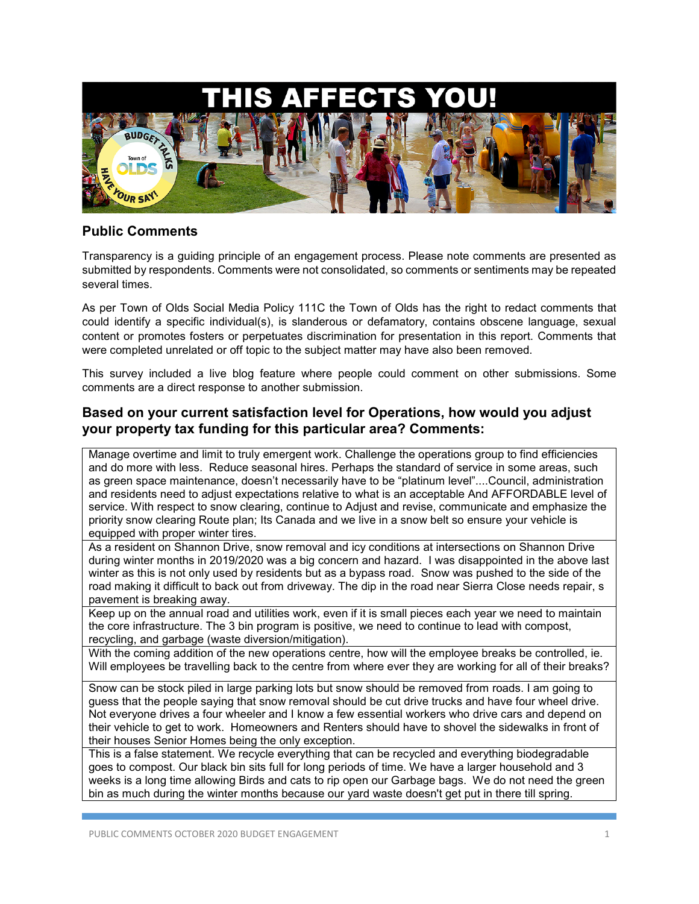

## **Public Comments**

Transparency is a guiding principle of an engagement process. Please note comments are presented as submitted by respondents. Comments were not consolidated, so comments or sentiments may be repeated several times.

As per Town of Olds Social Media Policy 111C the Town of Olds has the right to redact comments that could identify a specific individual(s), is slanderous or defamatory, contains obscene language, sexual content or promotes fosters or perpetuates discrimination for presentation in this report. Comments that were completed unrelated or off topic to the subject matter may have also been removed.

This survey included a live blog feature where people could comment on other submissions. Some comments are a direct response to another submission.

#### **Based on your current satisfaction level for Operations, how would you adjust your property tax funding for this particular area? Comments:**

Manage overtime and limit to truly emergent work. Challenge the operations group to find efficiencies and do more with less. Reduce seasonal hires. Perhaps the standard of service in some areas, such as green space maintenance, doesn't necessarily have to be "platinum level"....Council, administration and residents need to adjust expectations relative to what is an acceptable And AFFORDABLE level of service. With respect to snow clearing, continue to Adjust and revise, communicate and emphasize the priority snow clearing Route plan; Its Canada and we live in a snow belt so ensure your vehicle is equipped with proper winter tires.

As a resident on Shannon Drive, snow removal and icy conditions at intersections on Shannon Drive during winter months in 2019/2020 was a big concern and hazard. I was disappointed in the above last winter as this is not only used by residents but as a bypass road. Snow was pushed to the side of the road making it difficult to back out from driveway. The dip in the road near Sierra Close needs repair, s pavement is breaking away.

Keep up on the annual road and utilities work, even if it is small pieces each year we need to maintain the core infrastructure. The 3 bin program is positive, we need to continue to lead with compost, recycling, and garbage (waste diversion/mitigation).

With the coming addition of the new operations centre, how will the employee breaks be controlled, ie. Will employees be travelling back to the centre from where ever they are working for all of their breaks?

Snow can be stock piled in large parking lots but snow should be removed from roads. I am going to guess that the people saying that snow removal should be cut drive trucks and have four wheel drive. Not everyone drives a four wheeler and I know a few essential workers who drive cars and depend on their vehicle to get to work. Homeowners and Renters should have to shovel the sidewalks in front of their houses Senior Homes being the only exception.

This is a false statement. We recycle everything that can be recycled and everything biodegradable goes to compost. Our black bin sits full for long periods of time. We have a larger household and 3 weeks is a long time allowing Birds and cats to rip open our Garbage bags. We do not need the green bin as much during the winter months because our yard waste doesn't get put in there till spring.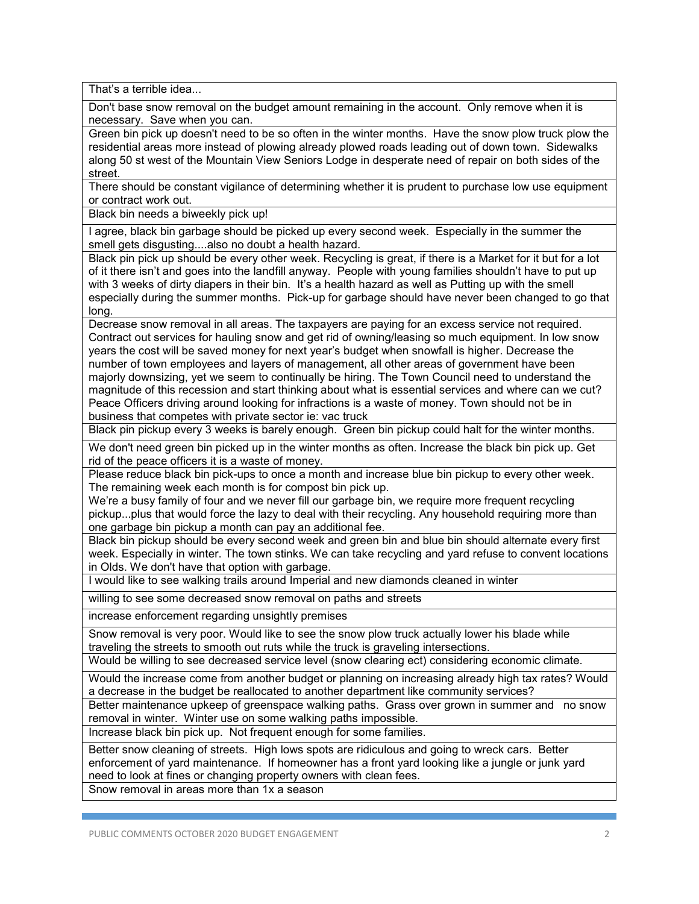That's a terrible idea...

Don't base snow removal on the budget amount remaining in the account. Only remove when it is necessary. Save when you can.

Green bin pick up doesn't need to be so often in the winter months. Have the snow plow truck plow the residential areas more instead of plowing already plowed roads leading out of down town. Sidewalks along 50 st west of the Mountain View Seniors Lodge in desperate need of repair on both sides of the street.

There should be constant vigilance of determining whether it is prudent to purchase low use equipment or contract work out.

Black bin needs a biweekly pick up!

I agree, black bin garbage should be picked up every second week. Especially in the summer the smell gets disgusting....also no doubt a health hazard.

Black pin pick up should be every other week. Recycling is great, if there is a Market for it but for a lot of it there isn't and goes into the landfill anyway. People with young families shouldn't have to put up with 3 weeks of dirty diapers in their bin. It's a health hazard as well as Putting up with the smell especially during the summer months. Pick-up for garbage should have never been changed to go that long.

Decrease snow removal in all areas. The taxpayers are paying for an excess service not required. Contract out services for hauling snow and get rid of owning/leasing so much equipment. In low snow years the cost will be saved money for next year's budget when snowfall is higher. Decrease the number of town employees and layers of management, all other areas of government have been majorly downsizing, yet we seem to continually be hiring. The Town Council need to understand the magnitude of this recession and start thinking about what is essential services and where can we cut? Peace Officers driving around looking for infractions is a waste of money. Town should not be in business that competes with private sector ie: vac truck

Black pin pickup every 3 weeks is barely enough. Green bin pickup could halt for the winter months.

We don't need green bin picked up in the winter months as often. Increase the black bin pick up. Get rid of the peace officers it is a waste of money.

Please reduce black bin pick-ups to once a month and increase blue bin pickup to every other week. The remaining week each month is for compost bin pick up.

We're a busy family of four and we never fill our garbage bin, we require more frequent recycling pickup...plus that would force the lazy to deal with their recycling. Any household requiring more than one garbage bin pickup a month can pay an additional fee.

Black bin pickup should be every second week and green bin and blue bin should alternate every first week. Especially in winter. The town stinks. We can take recycling and yard refuse to convent locations in Olds. We don't have that option with garbage.

I would like to see walking trails around Imperial and new diamonds cleaned in winter

willing to see some decreased snow removal on paths and streets

increase enforcement regarding unsightly premises

Snow removal is very poor. Would like to see the snow plow truck actually lower his blade while traveling the streets to smooth out ruts while the truck is graveling intersections.

Would be willing to see decreased service level (snow clearing ect) considering economic climate.

Would the increase come from another budget or planning on increasing already high tax rates? Would a decrease in the budget be reallocated to another department like community services?

Better maintenance upkeep of greenspace walking paths. Grass over grown in summer and no snow removal in winter. Winter use on some walking paths impossible.

Increase black bin pick up. Not frequent enough for some families.

Better snow cleaning of streets. High lows spots are ridiculous and going to wreck cars. Better enforcement of yard maintenance. If homeowner has a front yard looking like a jungle or junk yard need to look at fines or changing property owners with clean fees.

Snow removal in areas more than 1x a season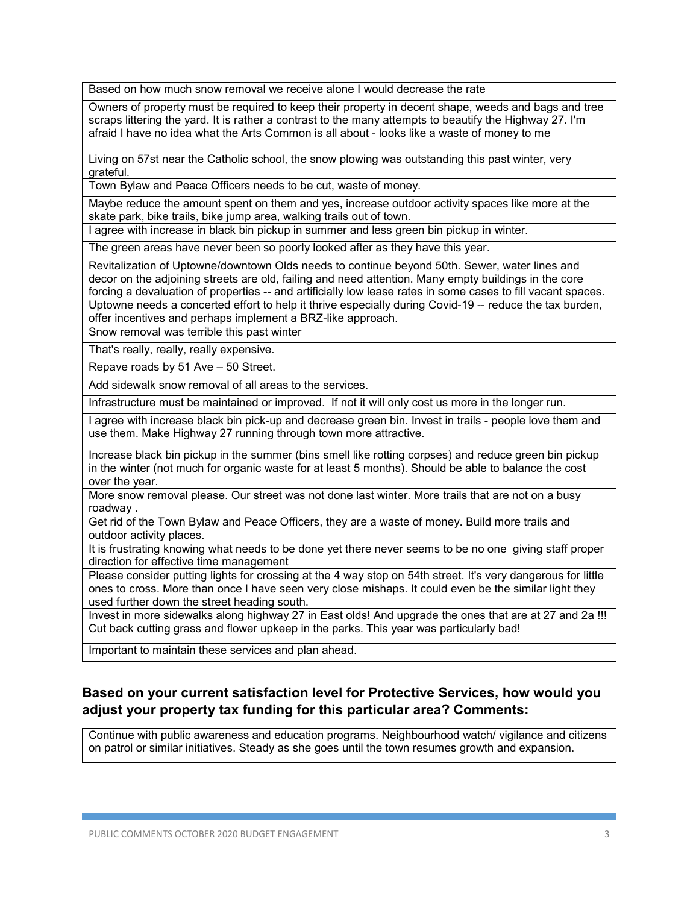Based on how much snow removal we receive alone I would decrease the rate

Owners of property must be required to keep their property in decent shape, weeds and bags and tree scraps littering the yard. It is rather a contrast to the many attempts to beautify the Highway 27. I'm afraid I have no idea what the Arts Common is all about - looks like a waste of money to me

Living on 57st near the Catholic school, the snow plowing was outstanding this past winter, very grateful.

Town Bylaw and Peace Officers needs to be cut, waste of money.

Maybe reduce the amount spent on them and yes, increase outdoor activity spaces like more at the skate park, bike trails, bike jump area, walking trails out of town.

I agree with increase in black bin pickup in summer and less green bin pickup in winter.

The green areas have never been so poorly looked after as they have this year.

Revitalization of Uptowne/downtown Olds needs to continue beyond 50th. Sewer, water lines and decor on the adjoining streets are old, failing and need attention. Many empty buildings in the core forcing a devaluation of properties -- and artificially low lease rates in some cases to fill vacant spaces. Uptowne needs a concerted effort to help it thrive especially during Covid-19 -- reduce the tax burden, offer incentives and perhaps implement a BRZ-like approach.

Snow removal was terrible this past winter

That's really, really, really expensive.

Repave roads by 51 Ave – 50 Street.

Add sidewalk snow removal of all areas to the services.

Infrastructure must be maintained or improved. If not it will only cost us more in the longer run.

I agree with increase black bin pick-up and decrease green bin. Invest in trails - people love them and use them. Make Highway 27 running through town more attractive.

Increase black bin pickup in the summer (bins smell like rotting corpses) and reduce green bin pickup in the winter (not much for organic waste for at least 5 months). Should be able to balance the cost over the year.

More snow removal please. Our street was not done last winter. More trails that are not on a busy roadway .

Get rid of the Town Bylaw and Peace Officers, they are a waste of money. Build more trails and outdoor activity places.

It is frustrating knowing what needs to be done yet there never seems to be no one giving staff proper direction for effective time management

Please consider putting lights for crossing at the 4 way stop on 54th street. It's very dangerous for little ones to cross. More than once I have seen very close mishaps. It could even be the similar light they used further down the street heading south.

Invest in more sidewalks along highway 27 in East olds! And upgrade the ones that are at 27 and 2a !!! Cut back cutting grass and flower upkeep in the parks. This year was particularly bad!

Important to maintain these services and plan ahead.

## **Based on your current satisfaction level for Protective Services, how would you adjust your property tax funding for this particular area? Comments:**

Continue with public awareness and education programs. Neighbourhood watch/ vigilance and citizens on patrol or similar initiatives. Steady as she goes until the town resumes growth and expansion.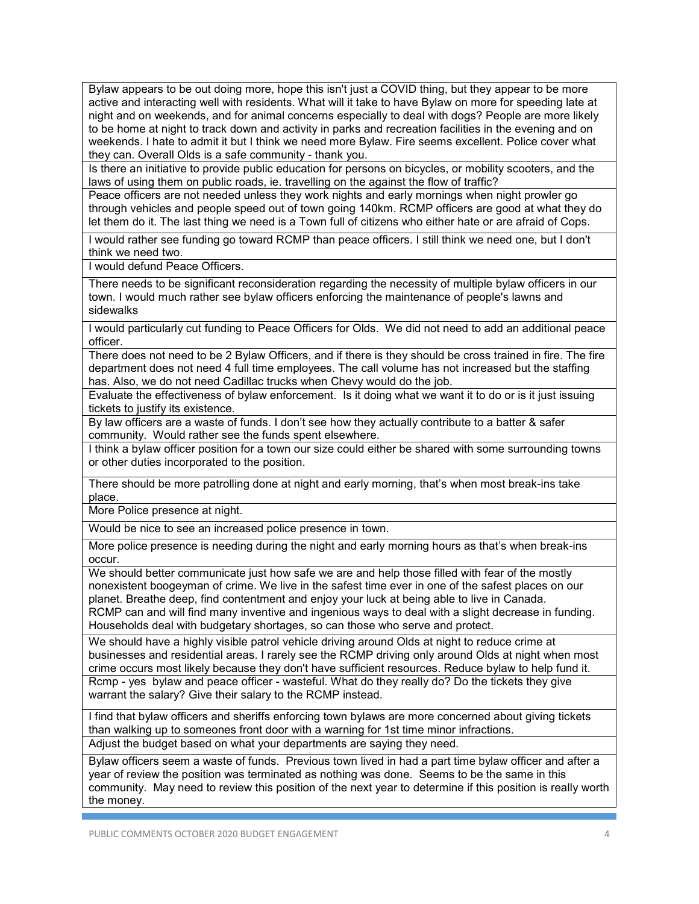Bylaw appears to be out doing more, hope this isn't just a COVID thing, but they appear to be more active and interacting well with residents. What will it take to have Bylaw on more for speeding late at night and on weekends, and for animal concerns especially to deal with dogs? People are more likely to be home at night to track down and activity in parks and recreation facilities in the evening and on weekends. I hate to admit it but I think we need more Bylaw. Fire seems excellent. Police cover what they can. Overall Olds is a safe community - thank you.

Is there an initiative to provide public education for persons on bicycles, or mobility scooters, and the laws of using them on public roads, ie. travelling on the against the flow of traffic?

Peace officers are not needed unless they work nights and early mornings when night prowler go through vehicles and people speed out of town going 140km. RCMP officers are good at what they do let them do it. The last thing we need is a Town full of citizens who either hate or are afraid of Cops.

I would rather see funding go toward RCMP than peace officers. I still think we need one, but I don't think we need two.

I would defund Peace Officers.

There needs to be significant reconsideration regarding the necessity of multiple bylaw officers in our town. I would much rather see bylaw officers enforcing the maintenance of people's lawns and sidewalks

I would particularly cut funding to Peace Officers for Olds. We did not need to add an additional peace officer.

There does not need to be 2 Bylaw Officers, and if there is they should be cross trained in fire. The fire department does not need 4 full time employees. The call volume has not increased but the staffing has. Also, we do not need Cadillac trucks when Chevy would do the job.

Evaluate the effectiveness of bylaw enforcement. Is it doing what we want it to do or is it just issuing tickets to justify its existence.

By law officers are a waste of funds. I don't see how they actually contribute to a batter & safer community. Would rather see the funds spent elsewhere.

I think a bylaw officer position for a town our size could either be shared with some surrounding towns or other duties incorporated to the position.

There should be more patrolling done at night and early morning, that's when most break-ins take place.

More Police presence at night.

Would be nice to see an increased police presence in town.

More police presence is needing during the night and early morning hours as that's when break-ins occur.

We should better communicate just how safe we are and help those filled with fear of the mostly nonexistent boogeyman of crime. We live in the safest time ever in one of the safest places on our planet. Breathe deep, find contentment and enjoy your luck at being able to live in Canada. RCMP can and will find many inventive and ingenious ways to deal with a slight decrease in funding.

Households deal with budgetary shortages, so can those who serve and protect.

We should have a highly visible patrol vehicle driving around Olds at night to reduce crime at businesses and residential areas. I rarely see the RCMP driving only around Olds at night when most crime occurs most likely because they don't have sufficient resources. Reduce bylaw to help fund it. Rcmp - yes bylaw and peace officer - wasteful. What do they really do? Do the tickets they give warrant the salary? Give their salary to the RCMP instead.

I find that bylaw officers and sheriffs enforcing town bylaws are more concerned about giving tickets than walking up to someones front door with a warning for 1st time minor infractions. Adjust the budget based on what your departments are saying they need.

Bylaw officers seem a waste of funds. Previous town lived in had a part time bylaw officer and after a year of review the position was terminated as nothing was done. Seems to be the same in this community. May need to review this position of the next year to determine if this position is really worth the money.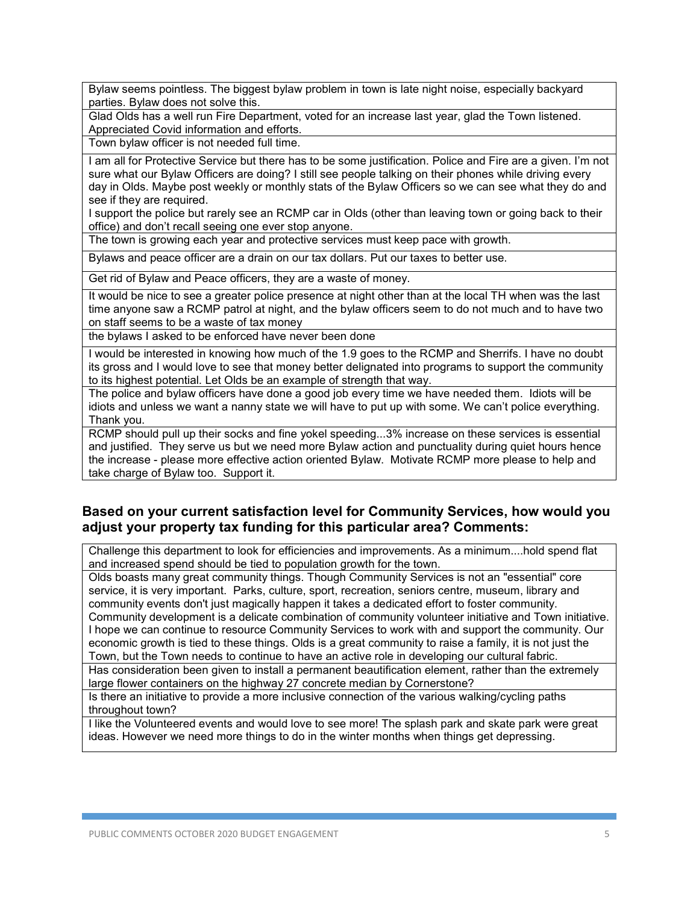Bylaw seems pointless. The biggest bylaw problem in town is late night noise, especially backyard parties. Bylaw does not solve this.

Glad Olds has a well run Fire Department, voted for an increase last year, glad the Town listened. Appreciated Covid information and efforts.

Town bylaw officer is not needed full time.

I am all for Protective Service but there has to be some justification. Police and Fire are a given. I'm not sure what our Bylaw Officers are doing? I still see people talking on their phones while driving every day in Olds. Maybe post weekly or monthly stats of the Bylaw Officers so we can see what they do and see if they are required.

I support the police but rarely see an RCMP car in Olds (other than leaving town or going back to their office) and don't recall seeing one ever stop anyone.

The town is growing each year and protective services must keep pace with growth.

Bylaws and peace officer are a drain on our tax dollars. Put our taxes to better use.

Get rid of Bylaw and Peace officers, they are a waste of money.

It would be nice to see a greater police presence at night other than at the local TH when was the last time anyone saw a RCMP patrol at night, and the bylaw officers seem to do not much and to have two on staff seems to be a waste of tax money

the bylaws I asked to be enforced have never been done

I would be interested in knowing how much of the 1.9 goes to the RCMP and Sherrifs. I have no doubt its gross and I would love to see that money better delignated into programs to support the community to its highest potential. Let Olds be an example of strength that way.

The police and bylaw officers have done a good job every time we have needed them. Idiots will be idiots and unless we want a nanny state we will have to put up with some. We can't police everything. Thank you.

RCMP should pull up their socks and fine yokel speeding...3% increase on these services is essential and justified. They serve us but we need more Bylaw action and punctuality during quiet hours hence the increase - please more effective action oriented Bylaw. Motivate RCMP more please to help and take charge of Bylaw too. Support it.

#### **Based on your current satisfaction level for Community Services, how would you adjust your property tax funding for this particular area? Comments:**

Challenge this department to look for efficiencies and improvements. As a minimum....hold spend flat and increased spend should be tied to population growth for the town.

Olds boasts many great community things. Though Community Services is not an "essential" core service, it is very important. Parks, culture, sport, recreation, seniors centre, museum, library and community events don't just magically happen it takes a dedicated effort to foster community. Community development is a delicate combination of community volunteer initiative and Town initiative. I hope we can continue to resource Community Services to work with and support the community. Our economic growth is tied to these things. Olds is a great community to raise a family, it is not just the Town, but the Town needs to continue to have an active role in developing our cultural fabric.

Has consideration been given to install a permanent beautification element, rather than the extremely large flower containers on the highway 27 concrete median by Cornerstone?

Is there an initiative to provide a more inclusive connection of the various walking/cycling paths throughout town?

I like the Volunteered events and would love to see more! The splash park and skate park were great ideas. However we need more things to do in the winter months when things get depressing.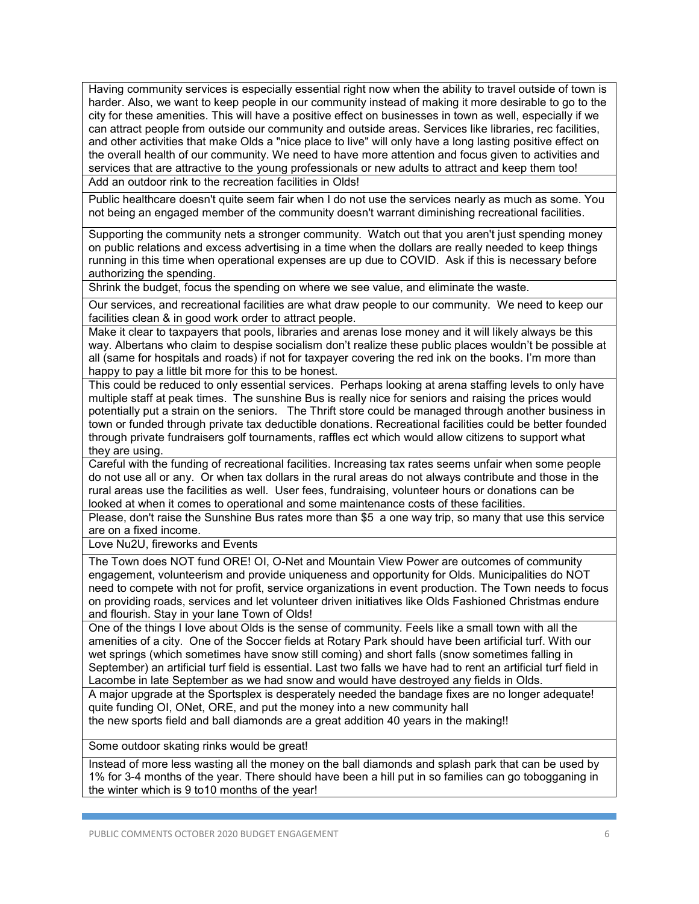Having community services is especially essential right now when the ability to travel outside of town is harder. Also, we want to keep people in our community instead of making it more desirable to go to the city for these amenities. This will have a positive effect on businesses in town as well, especially if we can attract people from outside our community and outside areas. Services like libraries, rec facilities, and other activities that make Olds a "nice place to live" will only have a long lasting positive effect on the overall health of our community. We need to have more attention and focus given to activities and services that are attractive to the young professionals or new adults to attract and keep them too! Add an outdoor rink to the recreation facilities in Olds!

Public healthcare doesn't quite seem fair when I do not use the services nearly as much as some. You not being an engaged member of the community doesn't warrant diminishing recreational facilities.

Supporting the community nets a stronger community. Watch out that you aren't just spending money on public relations and excess advertising in a time when the dollars are really needed to keep things running in this time when operational expenses are up due to COVID. Ask if this is necessary before authorizing the spending.

Shrink the budget, focus the spending on where we see value, and eliminate the waste.

Our services, and recreational facilities are what draw people to our community. We need to keep our facilities clean & in good work order to attract people.

Make it clear to taxpayers that pools, libraries and arenas lose money and it will likely always be this way. Albertans who claim to despise socialism don't realize these public places wouldn't be possible at all (same for hospitals and roads) if not for taxpayer covering the red ink on the books. I'm more than happy to pay a little bit more for this to be honest.

This could be reduced to only essential services. Perhaps looking at arena staffing levels to only have multiple staff at peak times. The sunshine Bus is really nice for seniors and raising the prices would potentially put a strain on the seniors. The Thrift store could be managed through another business in town or funded through private tax deductible donations. Recreational facilities could be better founded through private fundraisers golf tournaments, raffles ect which would allow citizens to support what they are using.

Careful with the funding of recreational facilities. Increasing tax rates seems unfair when some people do not use all or any. Or when tax dollars in the rural areas do not always contribute and those in the rural areas use the facilities as well. User fees, fundraising, volunteer hours or donations can be looked at when it comes to operational and some maintenance costs of these facilities.

Please, don't raise the Sunshine Bus rates more than \$5 a one way trip, so many that use this service are on a fixed income.

Love Nu2U, fireworks and Events

The Town does NOT fund ORE! OI, O-Net and Mountain View Power are outcomes of community engagement, volunteerism and provide uniqueness and opportunity for Olds. Municipalities do NOT need to compete with not for profit, service organizations in event production. The Town needs to focus on providing roads, services and let volunteer driven initiatives like Olds Fashioned Christmas endure and flourish. Stay in your lane Town of Olds!

One of the things I love about Olds is the sense of community. Feels like a small town with all the amenities of a city. One of the Soccer fields at Rotary Park should have been artificial turf. With our wet springs (which sometimes have snow still coming) and short falls (snow sometimes falling in September) an artificial turf field is essential. Last two falls we have had to rent an artificial turf field in Lacombe in late September as we had snow and would have destroyed any fields in Olds.

A major upgrade at the Sportsplex is desperately needed the bandage fixes are no longer adequate! quite funding OI, ONet, ORE, and put the money into a new community hall the new sports field and ball diamonds are a great addition 40 years in the making!!

Some outdoor skating rinks would be great!

Instead of more less wasting all the money on the ball diamonds and splash park that can be used by 1% for 3-4 months of the year. There should have been a hill put in so families can go tobogganing in the winter which is 9 to10 months of the year!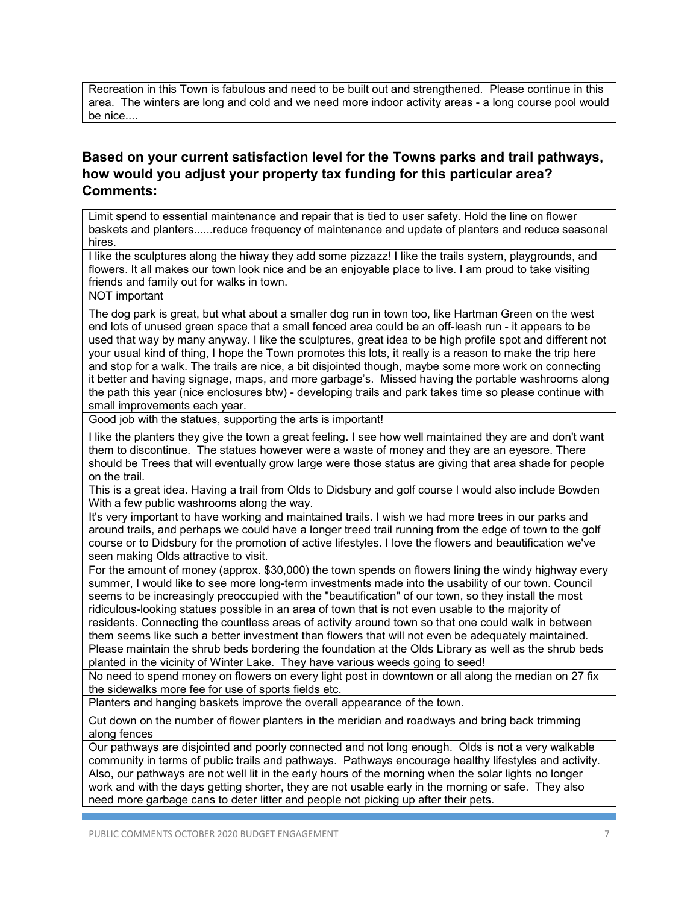Recreation in this Town is fabulous and need to be built out and strengthened. Please continue in this area. The winters are long and cold and we need more indoor activity areas - a long course pool would be nice....

# **Based on your current satisfaction level for the Towns parks and trail pathways, how would you adjust your property tax funding for this particular area? Comments:**

Limit spend to essential maintenance and repair that is tied to user safety. Hold the line on flower baskets and planters......reduce frequency of maintenance and update of planters and reduce seasonal hires.

I like the sculptures along the hiway they add some pizzazz! I like the trails system, playgrounds, and flowers. It all makes our town look nice and be an enjoyable place to live. I am proud to take visiting friends and family out for walks in town.

NOT important

The dog park is great, but what about a smaller dog run in town too, like Hartman Green on the west end lots of unused green space that a small fenced area could be an off-leash run - it appears to be used that way by many anyway. I like the sculptures, great idea to be high profile spot and different not your usual kind of thing, I hope the Town promotes this lots, it really is a reason to make the trip here and stop for a walk. The trails are nice, a bit disjointed though, maybe some more work on connecting it better and having signage, maps, and more garbage's. Missed having the portable washrooms along the path this year (nice enclosures btw) - developing trails and park takes time so please continue with small improvements each year.

Good job with the statues, supporting the arts is important!

I like the planters they give the town a great feeling. I see how well maintained they are and don't want them to discontinue. The statues however were a waste of money and they are an eyesore. There should be Trees that will eventually grow large were those status are giving that area shade for people on the trail.

This is a great idea. Having a trail from Olds to Didsbury and golf course I would also include Bowden With a few public washrooms along the way.

It's very important to have working and maintained trails. I wish we had more trees in our parks and around trails, and perhaps we could have a longer treed trail running from the edge of town to the golf course or to Didsbury for the promotion of active lifestyles. I love the flowers and beautification we've seen making Olds attractive to visit.

For the amount of money (approx. \$30,000) the town spends on flowers lining the windy highway every summer, I would like to see more long-term investments made into the usability of our town. Council seems to be increasingly preoccupied with the "beautification" of our town, so they install the most ridiculous-looking statues possible in an area of town that is not even usable to the majority of residents. Connecting the countless areas of activity around town so that one could walk in between them seems like such a better investment than flowers that will not even be adequately maintained.

Please maintain the shrub beds bordering the foundation at the Olds Library as well as the shrub beds planted in the vicinity of Winter Lake. They have various weeds going to seed!

No need to spend money on flowers on every light post in downtown or all along the median on 27 fix the sidewalks more fee for use of sports fields etc.

Planters and hanging baskets improve the overall appearance of the town.

Cut down on the number of flower planters in the meridian and roadways and bring back trimming along fences

Our pathways are disjointed and poorly connected and not long enough. Olds is not a very walkable community in terms of public trails and pathways. Pathways encourage healthy lifestyles and activity. Also, our pathways are not well lit in the early hours of the morning when the solar lights no longer work and with the days getting shorter, they are not usable early in the morning or safe. They also need more garbage cans to deter litter and people not picking up after their pets.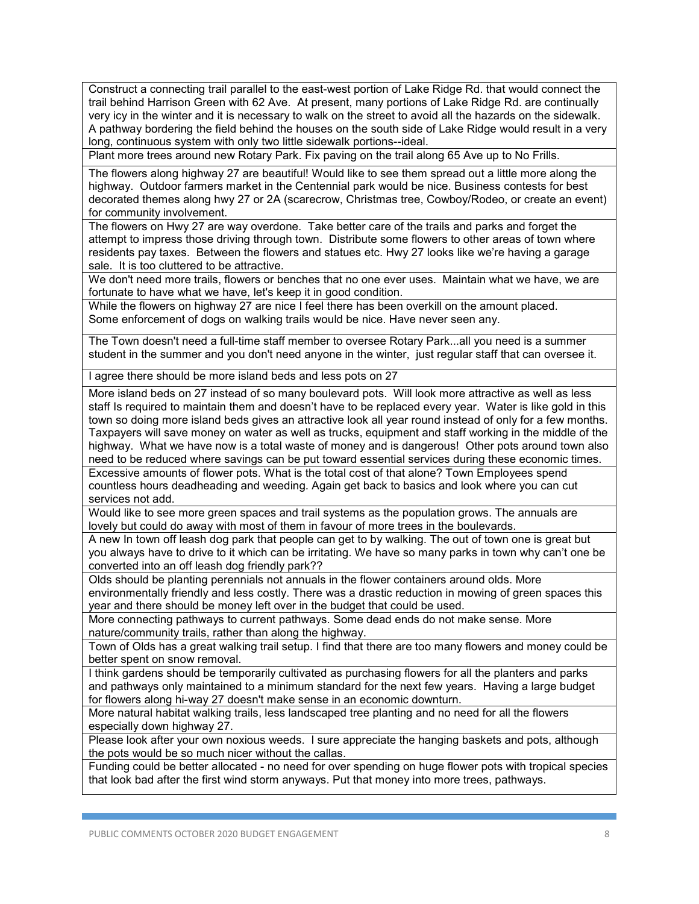Construct a connecting trail parallel to the east-west portion of Lake Ridge Rd. that would connect the trail behind Harrison Green with 62 Ave. At present, many portions of Lake Ridge Rd. are continually very icy in the winter and it is necessary to walk on the street to avoid all the hazards on the sidewalk. A pathway bordering the field behind the houses on the south side of Lake Ridge would result in a very long, continuous system with only two little sidewalk portions--ideal.

Plant more trees around new Rotary Park. Fix paving on the trail along 65 Ave up to No Frills.

The flowers along highway 27 are beautiful! Would like to see them spread out a little more along the highway. Outdoor farmers market in the Centennial park would be nice. Business contests for best decorated themes along hwy 27 or 2A (scarecrow, Christmas tree, Cowboy/Rodeo, or create an event) for community involvement.

The flowers on Hwy 27 are way overdone. Take better care of the trails and parks and forget the attempt to impress those driving through town. Distribute some flowers to other areas of town where residents pay taxes. Between the flowers and statues etc. Hwy 27 looks like we're having a garage sale. It is too cluttered to be attractive.

We don't need more trails, flowers or benches that no one ever uses. Maintain what we have, we are fortunate to have what we have, let's keep it in good condition.

While the flowers on highway 27 are nice I feel there has been overkill on the amount placed. Some enforcement of dogs on walking trails would be nice. Have never seen any.

The Town doesn't need a full-time staff member to oversee Rotary Park...all you need is a summer student in the summer and you don't need anyone in the winter, just regular staff that can oversee it.

I agree there should be more island beds and less pots on 27

More island beds on 27 instead of so many boulevard pots. Will look more attractive as well as less staff Is required to maintain them and doesn't have to be replaced every year. Water is like gold in this town so doing more island beds gives an attractive look all year round instead of only for a few months. Taxpayers will save money on water as well as trucks, equipment and staff working in the middle of the highway. What we have now is a total waste of money and is dangerous! Other pots around town also need to be reduced where savings can be put toward essential services during these economic times.

Excessive amounts of flower pots. What is the total cost of that alone? Town Employees spend countless hours deadheading and weeding. Again get back to basics and look where you can cut services not add.

Would like to see more green spaces and trail systems as the population grows. The annuals are lovely but could do away with most of them in favour of more trees in the boulevards.

A new In town off leash dog park that people can get to by walking. The out of town one is great but you always have to drive to it which can be irritating. We have so many parks in town why can't one be converted into an off leash dog friendly park??

Olds should be planting perennials not annuals in the flower containers around olds. More environmentally friendly and less costly. There was a drastic reduction in mowing of green spaces this year and there should be money left over in the budget that could be used.

More connecting pathways to current pathways. Some dead ends do not make sense. More nature/community trails, rather than along the highway.

Town of Olds has a great walking trail setup. I find that there are too many flowers and money could be better spent on snow removal.

I think gardens should be temporarily cultivated as purchasing flowers for all the planters and parks and pathways only maintained to a minimum standard for the next few years. Having a large budget for flowers along hi-way 27 doesn't make sense in an economic downturn.

More natural habitat walking trails, less landscaped tree planting and no need for all the flowers especially down highway 27.

Please look after your own noxious weeds. I sure appreciate the hanging baskets and pots, although the pots would be so much nicer without the callas.

Funding could be better allocated - no need for over spending on huge flower pots with tropical species that look bad after the first wind storm anyways. Put that money into more trees, pathways.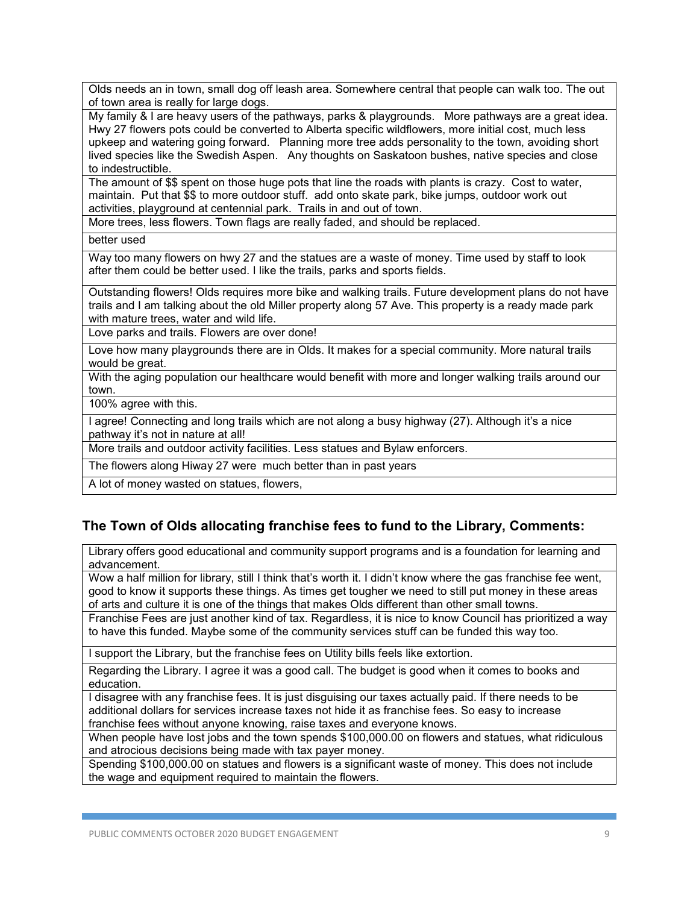Olds needs an in town, small dog off leash area. Somewhere central that people can walk too. The out of town area is really for large dogs.

My family & I are heavy users of the pathways, parks & playgrounds. More pathways are a great idea. Hwy 27 flowers pots could be converted to Alberta specific wildflowers, more initial cost, much less upkeep and watering going forward. Planning more tree adds personality to the town, avoiding short lived species like the Swedish Aspen. Any thoughts on Saskatoon bushes, native species and close to indestructible.

The amount of \$\$ spent on those huge pots that line the roads with plants is crazy. Cost to water, maintain. Put that \$\$ to more outdoor stuff. add onto skate park, bike jumps, outdoor work out activities, playground at centennial park. Trails in and out of town.

More trees, less flowers. Town flags are really faded, and should be replaced.

better used

Way too many flowers on hwy 27 and the statues are a waste of money. Time used by staff to look after them could be better used. I like the trails, parks and sports fields.

Outstanding flowers! Olds requires more bike and walking trails. Future development plans do not have trails and I am talking about the old Miller property along 57 Ave. This property is a ready made park with mature trees, water and wild life.

Love parks and trails. Flowers are over done!

Love how many playgrounds there are in Olds. It makes for a special community. More natural trails would be great.

With the aging population our healthcare would benefit with more and longer walking trails around our town.

100% agree with this.

I agree! Connecting and long trails which are not along a busy highway (27). Although it's a nice pathway it's not in nature at all!

More trails and outdoor activity facilities. Less statues and Bylaw enforcers.

The flowers along Hiway 27 were much better than in past years

A lot of money wasted on statues, flowers,

# **The Town of Olds allocating franchise fees to fund to the Library, Comments:**

Library offers good educational and community support programs and is a foundation for learning and advancement.

Wow a half million for library, still I think that's worth it. I didn't know where the gas franchise fee went, good to know it supports these things. As times get tougher we need to still put money in these areas of arts and culture it is one of the things that makes Olds different than other small towns.

Franchise Fees are just another kind of tax. Regardless, it is nice to know Council has prioritized a way to have this funded. Maybe some of the community services stuff can be funded this way too.

I support the Library, but the franchise fees on Utility bills feels like extortion.

Regarding the Library. I agree it was a good call. The budget is good when it comes to books and education.

I disagree with any franchise fees. It is just disguising our taxes actually paid. If there needs to be additional dollars for services increase taxes not hide it as franchise fees. So easy to increase franchise fees without anyone knowing, raise taxes and everyone knows.

When people have lost jobs and the town spends \$100,000.00 on flowers and statues, what ridiculous and atrocious decisions being made with tax payer money.

Spending \$100,000.00 on statues and flowers is a significant waste of money. This does not include the wage and equipment required to maintain the flowers.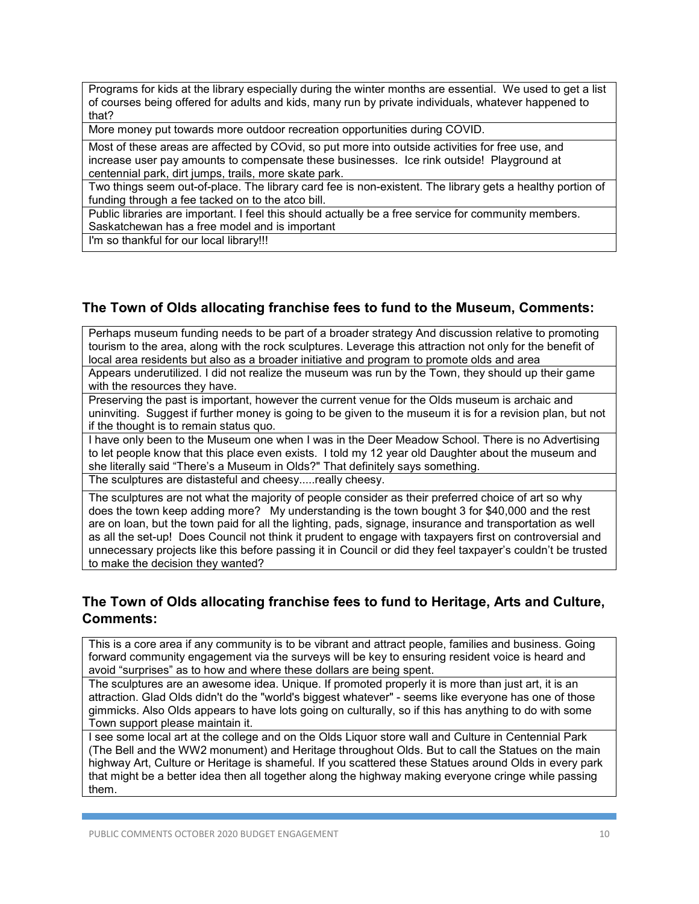Programs for kids at the library especially during the winter months are essential. We used to get a list of courses being offered for adults and kids, many run by private individuals, whatever happened to that?

More money put towards more outdoor recreation opportunities during COVID.

Most of these areas are affected by COvid, so put more into outside activities for free use, and increase user pay amounts to compensate these businesses. Ice rink outside! Playground at centennial park, dirt jumps, trails, more skate park.

Two things seem out-of-place. The library card fee is non-existent. The library gets a healthy portion of funding through a fee tacked on to the atco bill.

Public libraries are important. I feel this should actually be a free service for community members. Saskatchewan has a free model and is important

I'm so thankful for our local library!!!

#### **The Town of Olds allocating franchise fees to fund to the Museum, Comments:**

Perhaps museum funding needs to be part of a broader strategy And discussion relative to promoting tourism to the area, along with the rock sculptures. Leverage this attraction not only for the benefit of local area residents but also as a broader initiative and program to promote olds and area

Appears underutilized. I did not realize the museum was run by the Town, they should up their game with the resources they have.

Preserving the past is important, however the current venue for the Olds museum is archaic and uninviting. Suggest if further money is going to be given to the museum it is for a revision plan, but not if the thought is to remain status quo.

I have only been to the Museum one when I was in the Deer Meadow School. There is no Advertising to let people know that this place even exists. I told my 12 year old Daughter about the museum and she literally said "There's a Museum in Olds?" That definitely says something.

The sculptures are distasteful and cheesy.....really cheesy.

The sculptures are not what the majority of people consider as their preferred choice of art so why does the town keep adding more? My understanding is the town bought 3 for \$40,000 and the rest are on loan, but the town paid for all the lighting, pads, signage, insurance and transportation as well as all the set-up! Does Council not think it prudent to engage with taxpayers first on controversial and unnecessary projects like this before passing it in Council or did they feel taxpayer's couldn't be trusted to make the decision they wanted?

## **The Town of Olds allocating franchise fees to fund to Heritage, Arts and Culture, Comments:**

This is a core area if any community is to be vibrant and attract people, families and business. Going forward community engagement via the surveys will be key to ensuring resident voice is heard and avoid "surprises" as to how and where these dollars are being spent.

The sculptures are an awesome idea. Unique. If promoted properly it is more than just art, it is an attraction. Glad Olds didn't do the "world's biggest whatever" - seems like everyone has one of those gimmicks. Also Olds appears to have lots going on culturally, so if this has anything to do with some Town support please maintain it.

I see some local art at the college and on the Olds Liquor store wall and Culture in Centennial Park (The Bell and the WW2 monument) and Heritage throughout Olds. But to call the Statues on the main highway Art, Culture or Heritage is shameful. If you scattered these Statues around Olds in every park that might be a better idea then all together along the highway making everyone cringe while passing them.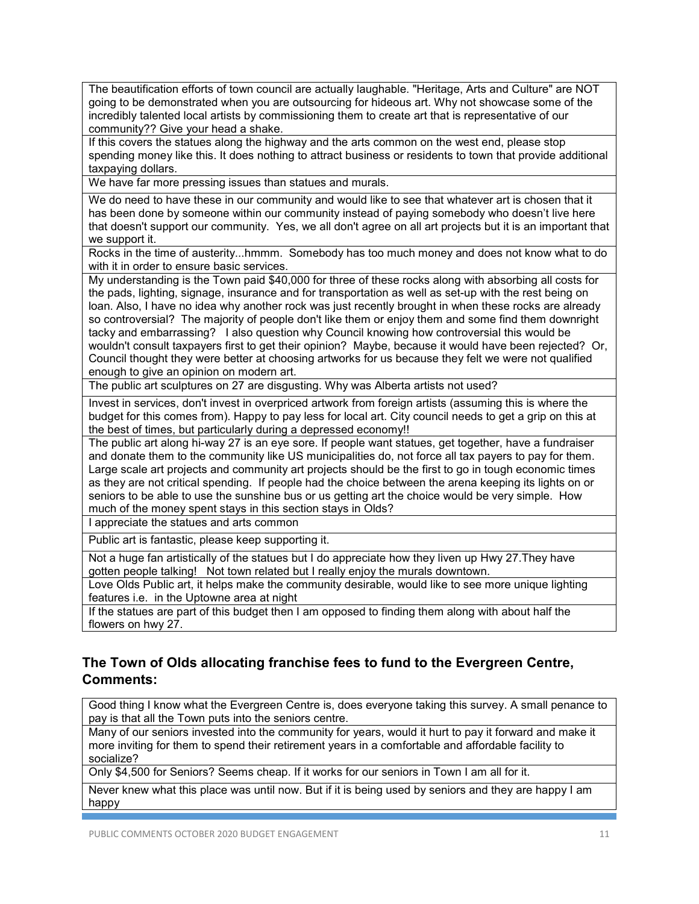The beautification efforts of town council are actually laughable. "Heritage, Arts and Culture" are NOT going to be demonstrated when you are outsourcing for hideous art. Why not showcase some of the incredibly talented local artists by commissioning them to create art that is representative of our community?? Give your head a shake.

If this covers the statues along the highway and the arts common on the west end, please stop spending money like this. It does nothing to attract business or residents to town that provide additional taxpaying dollars.

We have far more pressing issues than statues and murals.

We do need to have these in our community and would like to see that whatever art is chosen that it has been done by someone within our community instead of paying somebody who doesn't live here that doesn't support our community. Yes, we all don't agree on all art projects but it is an important that we support it.

Rocks in the time of austerity...hmmm. Somebody has too much money and does not know what to do with it in order to ensure basic services.

My understanding is the Town paid \$40,000 for three of these rocks along with absorbing all costs for the pads, lighting, signage, insurance and for transportation as well as set-up with the rest being on loan. Also, I have no idea why another rock was just recently brought in when these rocks are already so controversial? The majority of people don't like them or enjoy them and some find them downright tacky and embarrassing? I also question why Council knowing how controversial this would be wouldn't consult taxpayers first to get their opinion? Maybe, because it would have been rejected? Or, Council thought they were better at choosing artworks for us because they felt we were not qualified enough to give an opinion on modern art.

The public art sculptures on 27 are disgusting. Why was Alberta artists not used?

Invest in services, don't invest in overpriced artwork from foreign artists (assuming this is where the budget for this comes from). Happy to pay less for local art. City council needs to get a grip on this at the best of times, but particularly during a depressed economy!!

The public art along hi-way 27 is an eye sore. If people want statues, get together, have a fundraiser and donate them to the community like US municipalities do, not force all tax payers to pay for them. Large scale art projects and community art projects should be the first to go in tough economic times as they are not critical spending. If people had the choice between the arena keeping its lights on or seniors to be able to use the sunshine bus or us getting art the choice would be very simple. How much of the money spent stays in this section stays in Olds?

I appreciate the statues and arts common

Public art is fantastic, please keep supporting it.

Not a huge fan artistically of the statues but I do appreciate how they liven up Hwy 27.They have gotten people talking! Not town related but I really enjoy the murals downtown.

Love Olds Public art, it helps make the community desirable, would like to see more unique lighting features i.e. in the Uptowne area at night

If the statues are part of this budget then I am opposed to finding them along with about half the flowers on hwy 27.

# **The Town of Olds allocating franchise fees to fund to the Evergreen Centre, Comments:**

Good thing I know what the Evergreen Centre is, does everyone taking this survey. A small penance to pay is that all the Town puts into the seniors centre.

Many of our seniors invested into the community for years, would it hurt to pay it forward and make it more inviting for them to spend their retirement years in a comfortable and affordable facility to socialize?

Only \$4,500 for Seniors? Seems cheap. If it works for our seniors in Town I am all for it.

Never knew what this place was until now. But if it is being used by seniors and they are happy I am happy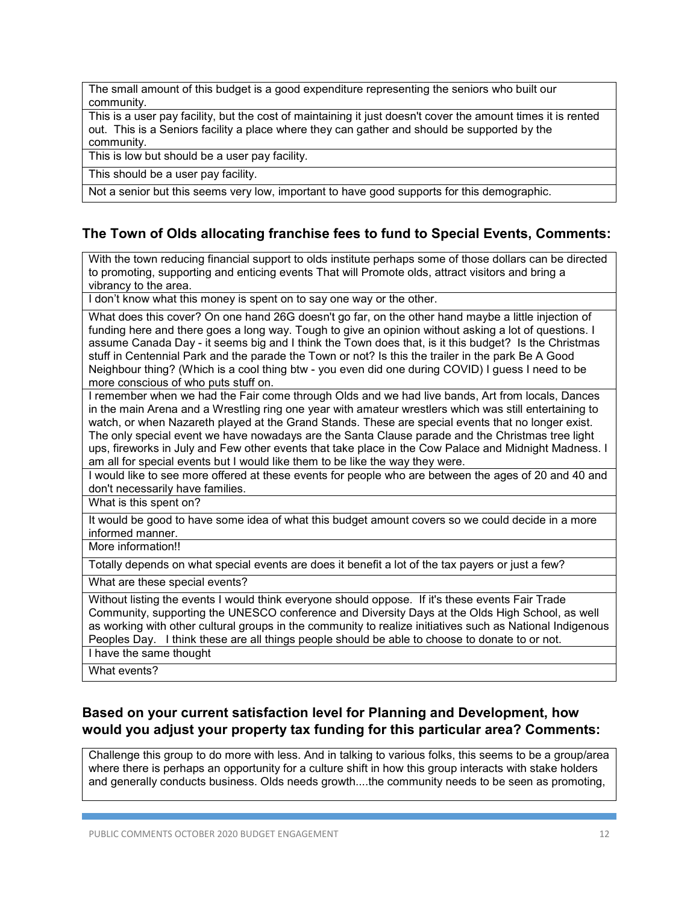The small amount of this budget is a good expenditure representing the seniors who built our community.

This is a user pay facility, but the cost of maintaining it just doesn't cover the amount times it is rented out. This is a Seniors facility a place where they can gather and should be supported by the community.

This is low but should be a user pay facility.

This should be a user pay facility.

Not a senior but this seems very low, important to have good supports for this demographic.

# **The Town of Olds allocating franchise fees to fund to Special Events, Comments:**

With the town reducing financial support to olds institute perhaps some of those dollars can be directed to promoting, supporting and enticing events That will Promote olds, attract visitors and bring a vibrancy to the area.

I don't know what this money is spent on to say one way or the other.

What does this cover? On one hand 26G doesn't go far, on the other hand maybe a little injection of funding here and there goes a long way. Tough to give an opinion without asking a lot of questions. I assume Canada Day - it seems big and I think the Town does that, is it this budget? Is the Christmas stuff in Centennial Park and the parade the Town or not? Is this the trailer in the park Be A Good Neighbour thing? (Which is a cool thing btw - you even did one during COVID) I guess I need to be more conscious of who puts stuff on.

I remember when we had the Fair come through Olds and we had live bands, Art from locals, Dances in the main Arena and a Wrestling ring one year with amateur wrestlers which was still entertaining to watch, or when Nazareth played at the Grand Stands. These are special events that no longer exist. The only special event we have nowadays are the Santa Clause parade and the Christmas tree light ups, fireworks in July and Few other events that take place in the Cow Palace and Midnight Madness. I am all for special events but I would like them to be like the way they were.

I would like to see more offered at these events for people who are between the ages of 20 and 40 and don't necessarily have families.

What is this spent on?

It would be good to have some idea of what this budget amount covers so we could decide in a more informed manner.

More information!!

Totally depends on what special events are does it benefit a lot of the tax payers or just a few?

What are these special events?

Without listing the events I would think everyone should oppose. If it's these events Fair Trade Community, supporting the UNESCO conference and Diversity Days at the Olds High School, as well as working with other cultural groups in the community to realize initiatives such as National Indigenous Peoples Day. I think these are all things people should be able to choose to donate to or not. I have the same thought

What events?

# **Based on your current satisfaction level for Planning and Development, how would you adjust your property tax funding for this particular area? Comments:**

Challenge this group to do more with less. And in talking to various folks, this seems to be a group/area where there is perhaps an opportunity for a culture shift in how this group interacts with stake holders and generally conducts business. Olds needs growth....the community needs to be seen as promoting,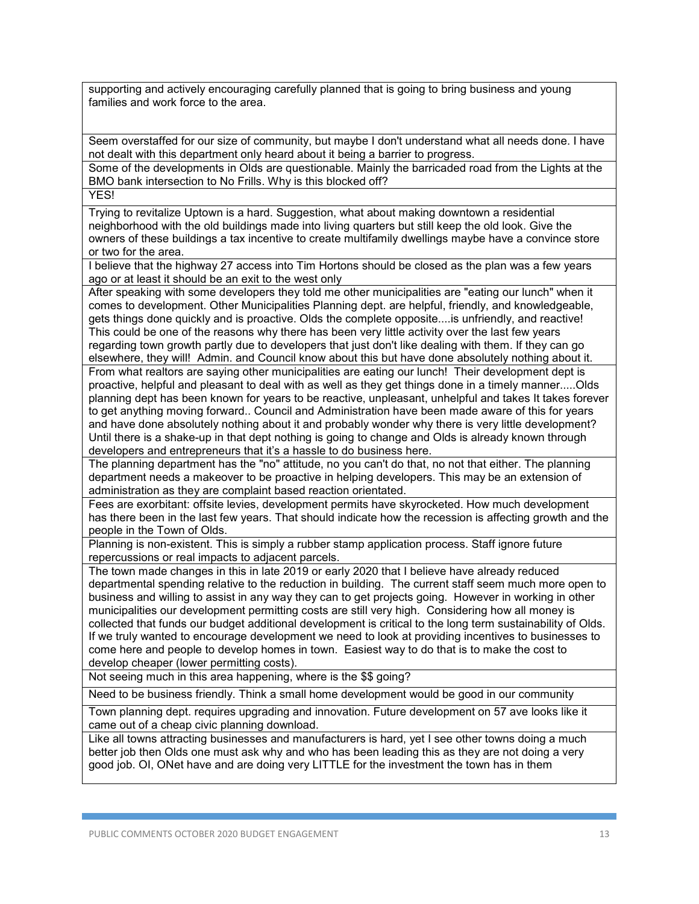supporting and actively encouraging carefully planned that is going to bring business and young families and work force to the area.

Seem overstaffed for our size of community, but maybe I don't understand what all needs done. I have not dealt with this department only heard about it being a barrier to progress.

Some of the developments in Olds are questionable. Mainly the barricaded road from the Lights at the BMO bank intersection to No Frills. Why is this blocked off?

**YES!** 

Trying to revitalize Uptown is a hard. Suggestion, what about making downtown a residential neighborhood with the old buildings made into living quarters but still keep the old look. Give the owners of these buildings a tax incentive to create multifamily dwellings maybe have a convince store or two for the area.

I believe that the highway 27 access into Tim Hortons should be closed as the plan was a few years ago or at least it should be an exit to the west only

After speaking with some developers they told me other municipalities are "eating our lunch" when it comes to development. Other Municipalities Planning dept. are helpful, friendly, and knowledgeable, gets things done quickly and is proactive. Olds the complete opposite....is unfriendly, and reactive! This could be one of the reasons why there has been very little activity over the last few years regarding town growth partly due to developers that just don't like dealing with them. If they can go elsewhere, they will! Admin. and Council know about this but have done absolutely nothing about it. From what realtors are saying other municipalities are eating our lunch! Their development dept is proactive, helpful and pleasant to deal with as well as they get things done in a timely manner.....Olds planning dept has been known for years to be reactive, unpleasant, unhelpful and takes It takes forever to get anything moving forward.. Council and Administration have been made aware of this for years and have done absolutely nothing about it and probably wonder why there is very little development? Until there is a shake-up in that dept nothing is going to change and Olds is already known through developers and entrepreneurs that it's a hassle to do business here.

The planning department has the "no" attitude, no you can't do that, no not that either. The planning department needs a makeover to be proactive in helping developers. This may be an extension of administration as they are complaint based reaction orientated.

Fees are exorbitant: offsite levies, development permits have skyrocketed. How much development has there been in the last few years. That should indicate how the recession is affecting growth and the people in the Town of Olds.

Planning is non-existent. This is simply a rubber stamp application process. Staff ignore future repercussions or real impacts to adjacent parcels.

The town made changes in this in late 2019 or early 2020 that I believe have already reduced departmental spending relative to the reduction in building. The current staff seem much more open to business and willing to assist in any way they can to get projects going. However in working in other municipalities our development permitting costs are still very high. Considering how all money is collected that funds our budget additional development is critical to the long term sustainability of Olds. If we truly wanted to encourage development we need to look at providing incentives to businesses to come here and people to develop homes in town. Easiest way to do that is to make the cost to develop cheaper (lower permitting costs).

Not seeing much in this area happening, where is the \$\$ going?

Need to be business friendly. Think a small home development would be good in our community

Town planning dept. requires upgrading and innovation. Future development on 57 ave looks like it came out of a cheap civic planning download.

Like all towns attracting businesses and manufacturers is hard, yet I see other towns doing a much better job then Olds one must ask why and who has been leading this as they are not doing a very good job. OI, ONet have and are doing very LITTLE for the investment the town has in them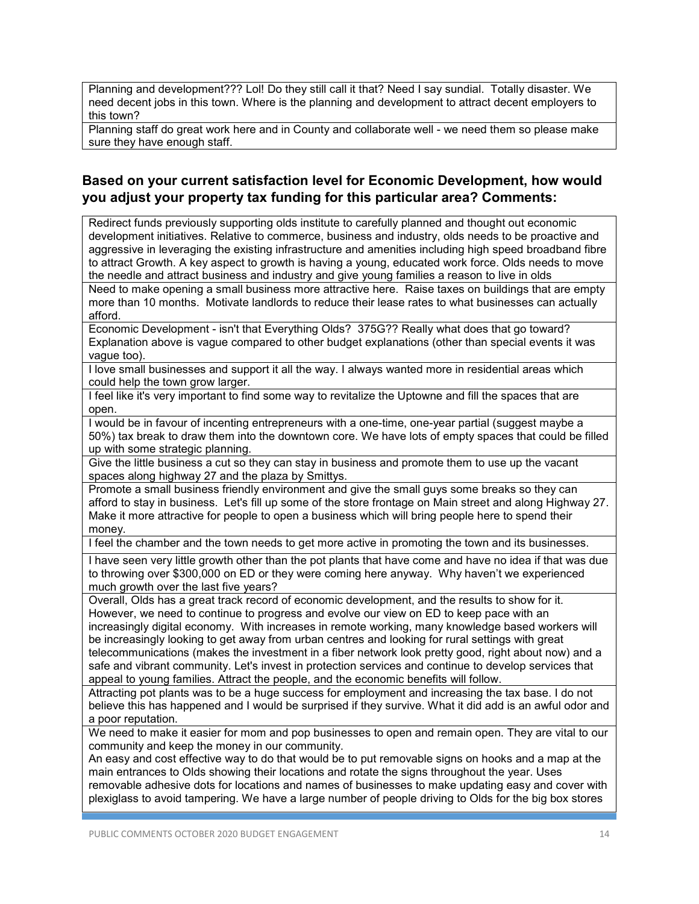Planning and development??? Lol! Do they still call it that? Need I say sundial. Totally disaster. We need decent jobs in this town. Where is the planning and development to attract decent employers to this town?

Planning staff do great work here and in County and collaborate well - we need them so please make sure they have enough staff.

## **Based on your current satisfaction level for Economic Development, how would you adjust your property tax funding for this particular area? Comments:**

Redirect funds previously supporting olds institute to carefully planned and thought out economic development initiatives. Relative to commerce, business and industry, olds needs to be proactive and aggressive in leveraging the existing infrastructure and amenities including high speed broadband fibre to attract Growth. A key aspect to growth is having a young, educated work force. Olds needs to move the needle and attract business and industry and give young families a reason to live in olds Need to make opening a small business more attractive here. Raise taxes on buildings that are empty more than 10 months. Motivate landlords to reduce their lease rates to what businesses can actually afford.

Economic Development - isn't that Everything Olds? 375G?? Really what does that go toward? Explanation above is vague compared to other budget explanations (other than special events it was vague too).

I love small businesses and support it all the way. I always wanted more in residential areas which could help the town grow larger.

I feel like it's very important to find some way to revitalize the Uptowne and fill the spaces that are open.

I would be in favour of incenting entrepreneurs with a one-time, one-year partial (suggest maybe a 50%) tax break to draw them into the downtown core. We have lots of empty spaces that could be filled up with some strategic planning.

Give the little business a cut so they can stay in business and promote them to use up the vacant spaces along highway 27 and the plaza by Smittys.

Promote a small business friendly environment and give the small guys some breaks so they can afford to stay in business. Let's fill up some of the store frontage on Main street and along Highway 27. Make it more attractive for people to open a business which will bring people here to spend their money.

I feel the chamber and the town needs to get more active in promoting the town and its businesses.

I have seen very little growth other than the pot plants that have come and have no idea if that was due to throwing over \$300,000 on ED or they were coming here anyway. Why haven't we experienced much growth over the last five years?

Overall, Olds has a great track record of economic development, and the results to show for it. However, we need to continue to progress and evolve our view on ED to keep pace with an increasingly digital economy. With increases in remote working, many knowledge based workers will be increasingly looking to get away from urban centres and looking for rural settings with great telecommunications (makes the investment in a fiber network look pretty good, right about now) and a safe and vibrant community. Let's invest in protection services and continue to develop services that appeal to young families. Attract the people, and the economic benefits will follow.

Attracting pot plants was to be a huge success for employment and increasing the tax base. I do not believe this has happened and I would be surprised if they survive. What it did add is an awful odor and a poor reputation.

We need to make it easier for mom and pop businesses to open and remain open. They are vital to our community and keep the money in our community.

An easy and cost effective way to do that would be to put removable signs on hooks and a map at the main entrances to Olds showing their locations and rotate the signs throughout the year. Uses removable adhesive dots for locations and names of businesses to make updating easy and cover with plexiglass to avoid tampering. We have a large number of people driving to Olds for the big box stores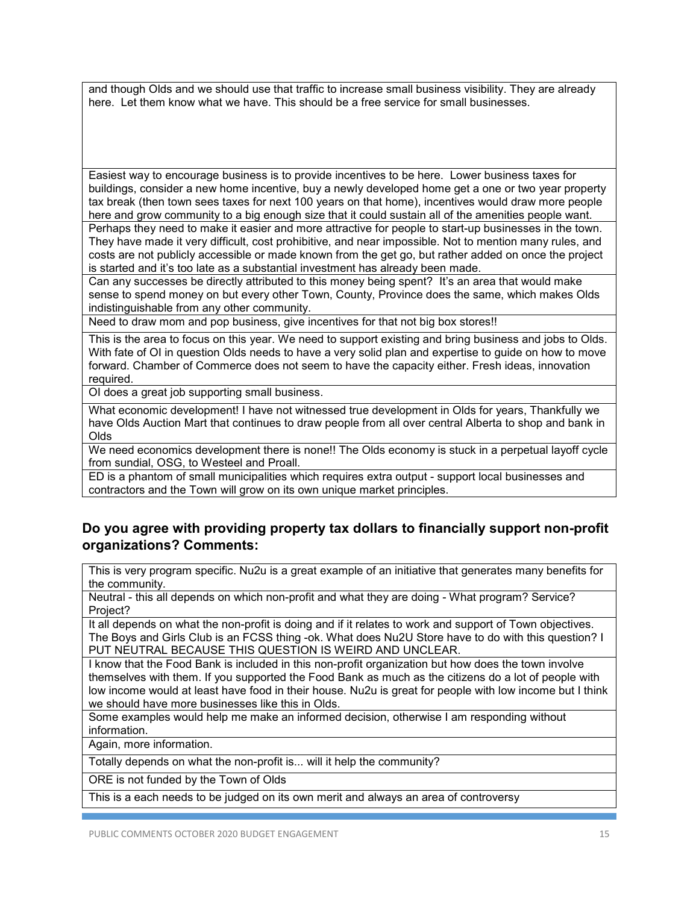and though Olds and we should use that traffic to increase small business visibility. They are already here. Let them know what we have. This should be a free service for small businesses.

Easiest way to encourage business is to provide incentives to be here. Lower business taxes for buildings, consider a new home incentive, buy a newly developed home get a one or two year property tax break (then town sees taxes for next 100 years on that home), incentives would draw more people here and grow community to a big enough size that it could sustain all of the amenities people want.

Perhaps they need to make it easier and more attractive for people to start-up businesses in the town. They have made it very difficult, cost prohibitive, and near impossible. Not to mention many rules, and costs are not publicly accessible or made known from the get go, but rather added on once the project is started and it's too late as a substantial investment has already been made.

Can any successes be directly attributed to this money being spent? It's an area that would make sense to spend money on but every other Town, County, Province does the same, which makes Olds indistinguishable from any other community.

Need to draw mom and pop business, give incentives for that not big box stores!!

This is the area to focus on this year. We need to support existing and bring business and jobs to Olds. With fate of OI in question Olds needs to have a very solid plan and expertise to guide on how to move forward. Chamber of Commerce does not seem to have the capacity either. Fresh ideas, innovation required.

OI does a great job supporting small business.

What economic development! I have not witnessed true development in Olds for years, Thankfully we have Olds Auction Mart that continues to draw people from all over central Alberta to shop and bank in Olds

We need economics development there is none!! The Olds economy is stuck in a perpetual layoff cycle from sundial, OSG, to Westeel and Proall.

ED is a phantom of small municipalities which requires extra output - support local businesses and contractors and the Town will grow on its own unique market principles.

## **Do you agree with providing property tax dollars to financially support non-profit organizations? Comments:**

This is very program specific. Nu2u is a great example of an initiative that generates many benefits for the community.

Neutral - this all depends on which non-profit and what they are doing - What program? Service? Project?

It all depends on what the non-profit is doing and if it relates to work and support of Town objectives. The Boys and Girls Club is an FCSS thing -ok. What does Nu2U Store have to do with this question? I PUT NEUTRAL BECAUSE THIS QUESTION IS WEIRD AND UNCLEAR.

I know that the Food Bank is included in this non-profit organization but how does the town involve themselves with them. If you supported the Food Bank as much as the citizens do a lot of people with low income would at least have food in their house. Nu2u is great for people with low income but I think we should have more businesses like this in Olds.

Some examples would help me make an informed decision, otherwise I am responding without information.

Again, more information.

Totally depends on what the non-profit is... will it help the community?

ORE is not funded by the Town of Olds

This is a each needs to be judged on its own merit and always an area of controversy